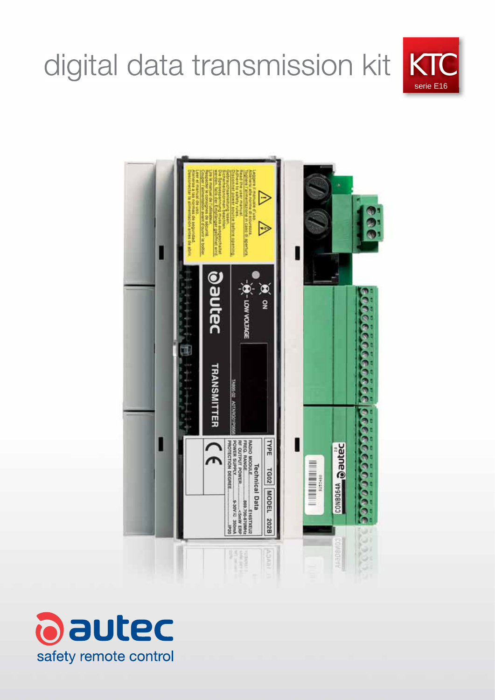